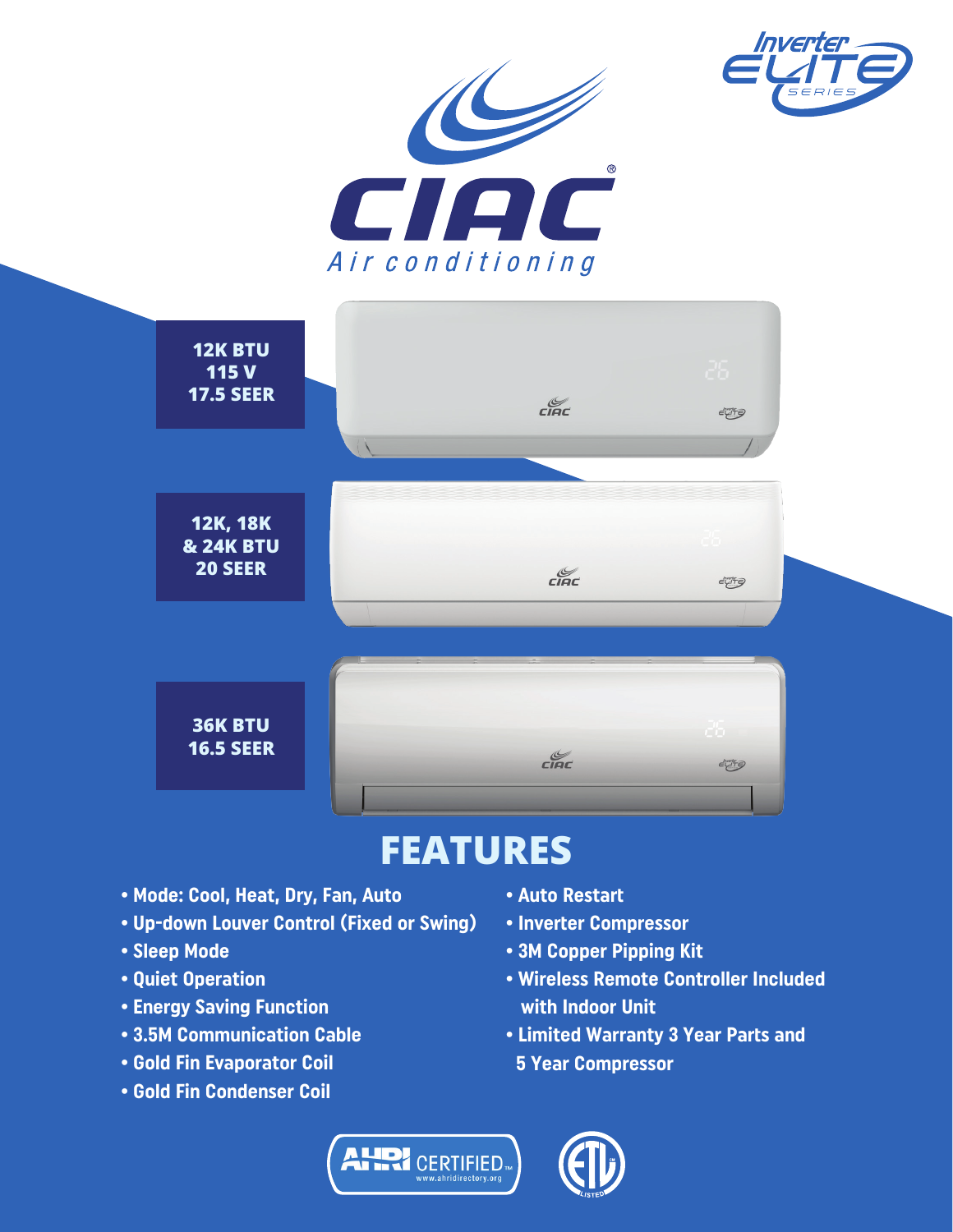





## **FEATURES**

- Mode: Cool, Heat, Dry, Fan, Auto
- Up-down Louver Control (Fixed or Swing)
- Sleep Mode
- Quiet Operation
- Energy Saving Function
- 3.5M Communication Cable
- Gold Fin Evaporator Coil
- Gold Fin Condenser Coil
- Auto Restart
- Inverter Compressor
- 3M Copper Pipping Kit
- Wireless Remote Controller Included with Indoor Unit
- Limited Warranty 3 Year Parts and 5 Year Compressor